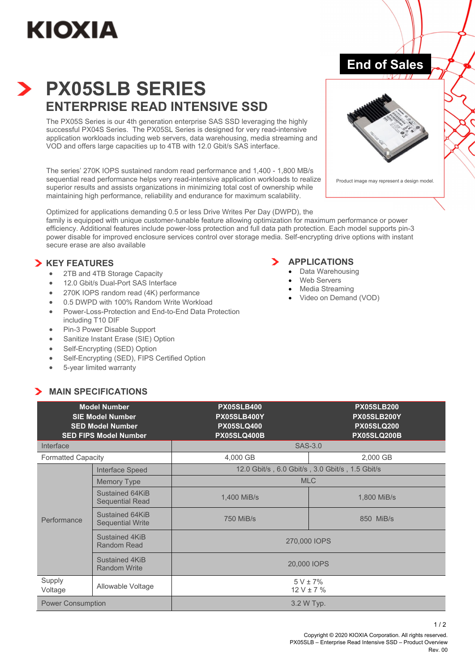# **KIOXIA**

# **PX05SLB SERIES ENTERPRISE READ INTENSIVE SSD**

The PX05S Series is our 4th generation enterprise SAS SSD leveraging the highly successful PX04S Series. The PX05SL Series is designed for very read-intensive application workloads including web servers, data warehousing, media streaming and VOD and offers large capacities up to 4TB with 12.0 Gbit/s SAS interface.

The series' 270K IOPS sustained random read performance and 1,400 - 1,800 MB/s sequential read performance helps very read-intensive application workloads to realize superior results and assists organizations in minimizing total cost of ownership while maintaining high performance, reliability and endurance for maximum scalability.



**End of Sales** 

Product image may represent a design model.

**APPLICATIONS** • Data Warehousing Web Servers Media Streaming • Video on Demand (VOD)

Optimized for applications demanding 0.5 or less Drive Writes Per Day (DWPD), the

family is equipped with unique customer-tunable feature allowing optimization for maximum performance or power efficiency. Additional features include power-loss protection and full data path protection. Each model supports pin-3 power disable for improved enclosure services control over storage media. Self-encrypting drive options with instant secure erase are also available

# **X** KEY FEATURES

- 2TB and 4TB Storage Capacity
- 12.0 Gbit/s Dual-Port SAS Interface
- 270K IOPS random read (4K) performance
- 0.5 DWPD with 100% Random Write Workload
- Power-Loss-Protection and End-to-End Data Protection including T10 DIF
- Pin-3 Power Disable Support
- Sanitize Instant Erase (SIE) Option
- Self-Encrypting (SED) Option
- Self-Encrypting (SED), FIPS Certified Option
- 5-year limited warranty

# **MAIN SPECIFICATIONS**

| <b>Model Number</b><br><b>SIE Model Number</b><br><b>SED Model Number</b><br><b>SED FIPS Model Number</b> |                                            | <b>PX05SLB400</b><br>PX05SLB400Y<br><b>PX05SLQ400</b><br><b>PX05SLQ400B</b> | <b>PX05SLB200</b><br><b>PX05SLB200Y</b><br><b>PX05SLQ200</b><br><b>PX05SLQ200B</b> |
|-----------------------------------------------------------------------------------------------------------|--------------------------------------------|-----------------------------------------------------------------------------|------------------------------------------------------------------------------------|
| Interface                                                                                                 |                                            | <b>SAS-3.0</b>                                                              |                                                                                    |
| <b>Formatted Capacity</b>                                                                                 |                                            | 4,000 GB                                                                    | 2,000 GB                                                                           |
| Performance                                                                                               | Interface Speed                            | 12.0 Gbit/s, 6.0 Gbit/s, 3.0 Gbit/s, 1.5 Gbit/s                             |                                                                                    |
|                                                                                                           | <b>Memory Type</b>                         | <b>MLC</b>                                                                  |                                                                                    |
|                                                                                                           | Sustained 64KiB<br><b>Sequential Read</b>  | 1,400 MiB/s                                                                 | 1,800 MiB/s                                                                        |
|                                                                                                           | Sustained 64KiB<br><b>Sequential Write</b> | 750 MiB/s                                                                   | 850 MiB/s                                                                          |
|                                                                                                           | Sustained 4KiB<br><b>Random Read</b>       | 270,000 IOPS                                                                |                                                                                    |
|                                                                                                           | Sustained 4KiB<br><b>Random Write</b>      | 20,000 IOPS                                                                 |                                                                                    |
| Supply<br>Voltage                                                                                         | Allowable Voltage                          | $5 V \pm 7\%$<br>$12 V \pm 7 \%$                                            |                                                                                    |
| <b>Power Consumption</b>                                                                                  |                                            | 3.2 W Typ.                                                                  |                                                                                    |

#### Copyright © 2020 KIOXIA Corporation. All rights reserved. PX05SLB – Enterprise Read Intensive SSD – Product Overview Rev. 00